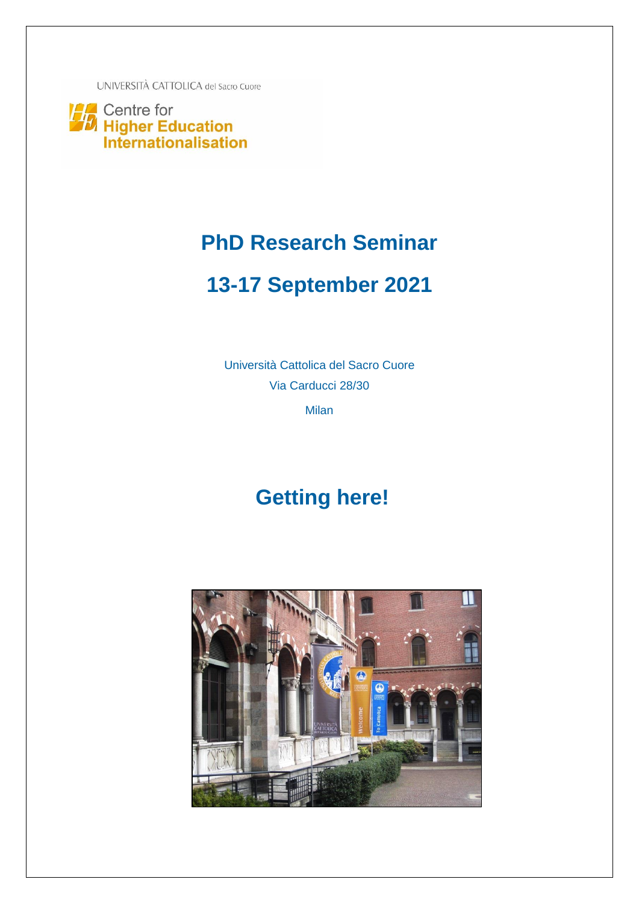UNIVERSITÀ CATTOLICA del Sacro Cuore

Centre for<br>**7.** Higher Education<br>Internationalisation

### **PhD Research Seminar**

# **13-17 September 2021**

Università Cattolica del Sacro Cuore Via Carducci 28/30

Milan

# **Getting here!**

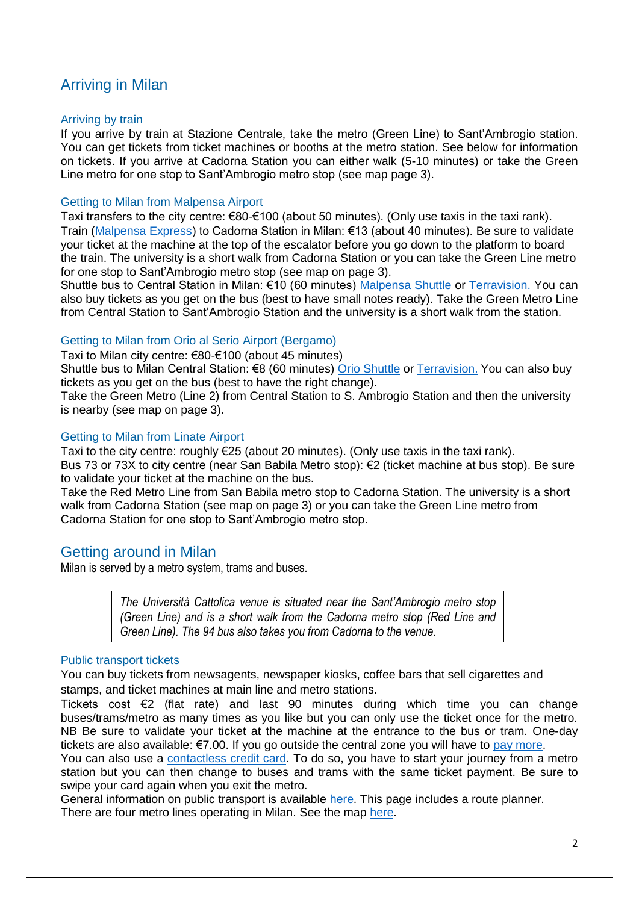### Arriving in Milan

#### Arriving by train

If you arrive by train at Stazione Centrale, take the metro (Green Line) to Sant'Ambrogio station. You can get tickets from ticket machines or booths at the metro station. See below for information on tickets. If you arrive at Cadorna Station you can either walk (5-10 minutes) or take the Green Line metro for one stop to Sant'Ambrogio metro stop (see map page 3).

#### Getting to Milan from Malpensa Airport

Taxi transfers to the city centre: €80-€100 (about 50 minutes). (Only use taxis in the taxi rank). Train [\(Malpensa Express\)](http://www.malpensaexpress.it/en) to Cadorna Station in Milan: €13 (about 40 minutes). Be sure to validate your ticket at the machine at the top of the escalator before you go down to the platform to board the train. The university is a short walk from Cadorna Station or you can take the Green Line metro for one stop to Sant'Ambrogio metro stop (see map on page 3).

Shuttle bus to Central Station in Milan: €10 (60 minutes) [Malpensa Shuttle](https://www.malpensashuttle.it/) or [Terravision.](https://www.terravision.eu/airport_transfer/busmalpensa-airport-milan/?noredirect=en) You can also buy tickets as you get on the bus (best to have small notes ready). Take the Green Metro Line from Central Station to Sant'Ambrogio Station and the university is a short walk from the station.

#### Getting to Milan from Orio al Serio Airport (Bergamo)

Taxi to Milan city centre: €80-€100 (about 45 minutes)

Shuttle bus to Milan Central Station: €8 (60 minutes) [Orio Shuttle](http://www.orioshuttle.com/Orio-al-Serio_Milano-Centrale.cfm) or [Terravision.](https://www.terravision.eu/airport_transfer/bus-bergamo-airport-milan/?noredirect=en_US) You can also buy tickets as you get on the bus (best to have the right change).

Take the Green Metro (Line 2) from Central Station to S. Ambrogio Station and then the university is nearby (see map on page 3).

#### Getting to Milan from Linate Airport

Taxi to the city centre: roughly €25 (about 20 minutes). (Only use taxis in the taxi rank). Bus 73 or 73X to city centre (near San Babila Metro stop): €2 (ticket machine at bus stop). Be sure to validate your ticket at the machine on the bus.

Take the Red Metro Line from San Babila metro stop to Cadorna Station. The university is a short walk from Cadorna Station (see map on page 3) or you can take the Green Line metro from Cadorna Station for one stop to Sant'Ambrogio metro stop.

#### Getting around in Milan

Milan is served by a metro system, trams and buses.

*The Università Cattolica venue is situated near the Sant'Ambrogio metro stop (Green Line) and is a short walk from the Cadorna metro stop (Red Line and Green Line). The 94 bus also takes you from Cadorna to the venue.*

#### Public transport tickets *(See metro map [here.](https://www.atm.it/en/ViaggiaConNoi/Pages/SchemaReteMetro.aspx))*

You can buy tickets from newsagents, newspaper kiosks, coffee bars that sell cigarettes and stamps, and ticket machines at main line and metro stations.

Tickets cost €2 (flat rate) and last 90 minutes during which time you can change buses/trams/metro as many times as you like but you can only use the ticket once for the metro. NB Be sure to validate your ticket at the machine at the entrance to the bus or tram. One-day tickets are also available: €7.00. If you go outside the central zone you will have to [pay more.](https://nuovosistematariffario.atm.it/)

You can also use a [contactless credit card.](https://www.atm.it/en/ViaggiaConNoi/Pages/FAQ_cless_eng.aspx) To do so, you have to start your journey from a metro station but you can then change to buses and trams with the same ticket payment. Be sure to swipe your card again when you exit the metro.

General information on public transport is available [here.](https://www.atm.it/en/Pages/default.aspx) This page includes a route planner. There are four metro lines operating in Milan. See the map [here.](https://www.atm.it/en/ViaggiaConNoi/Pages/SchemaReteMetro.aspx)